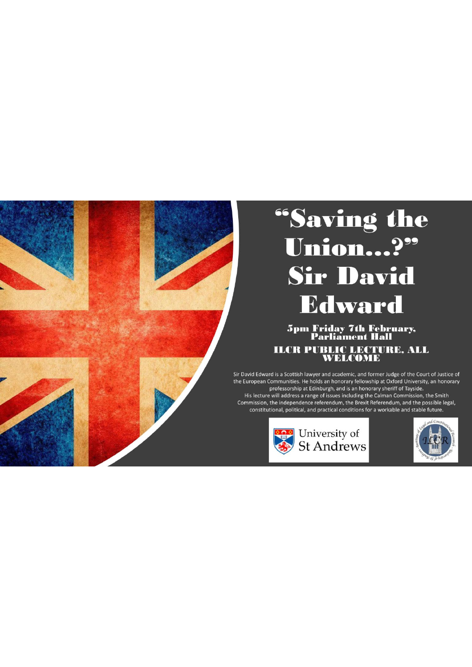

# "Saving the<br>Union...?" **Sir David Edward**

5pm Friday 7th February,<br>Parliament Hall **ILCR PUBLIC LECTURE, ALL<br>WELCOME** 

Sir David Edward is a Scottish lawyer and academic, and former Judge of the Court of Justice of the European Communities. He holds an honorary fellowship at Oxford University, an honorary professorship at Edinburgh, and is an honorary sheriff of Tayside.

His lecture will address a range of issues including the Calman Commission, the Smith Commission, the independence referendum, the Brexit Referendum, and the possible legal, constitutional, political, and practical conditions for a workable and stable future.



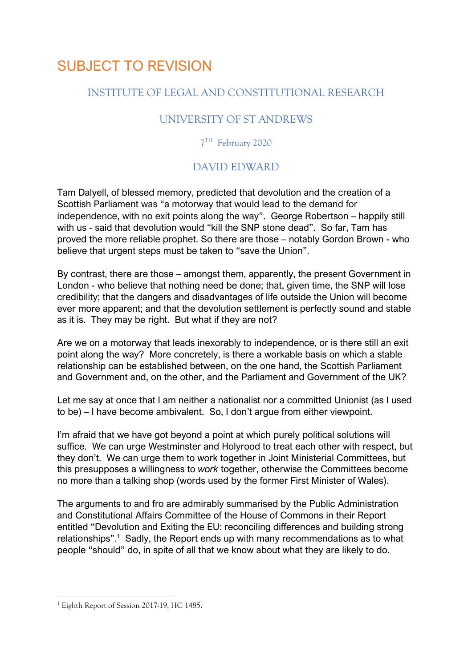## SUBJECT TO REVISION

#### INSTITUTE OF LEGAL AND CONSTITUTIONAL RESEARCH

### UNIVERSITY OF ST ANDREWS

7TH February 2020

#### DAVID EDWARD

Tam Dalyell, of blessed memory, predicted that devolution and the creation of a Scottish Parliament was "a motorway that would lead to the demand for independence, with no exit points along the way". George Robertson – happily still with us - said that devolution would "kill the SNP stone dead". So far, Tam has proved the more reliable prophet. So there are those – notably Gordon Brown - who believe that urgent steps must be taken to "save the Union".

By contrast, there are those – amongst them, apparently, the present Government in London - who believe that nothing need be done; that, given time, the SNP will lose credibility; that the dangers and disadvantages of life outside the Union will become ever more apparent; and that the devolution settlement is perfectly sound and stable as it is. They may be right. But what if they are not?

Are we on a motorway that leads inexorably to independence, or is there still an exit point along the way? More concretely, is there a workable basis on which a stable relationship can be established between, on the one hand, the Scottish Parliament and Government and, on the other, and the Parliament and Government of the UK?

Let me say at once that I am neither a nationalist nor a committed Unionist (as I used to be) – I have become ambivalent. So, I don't argue from either viewpoint.

I'm afraid that we have got beyond a point at which purely political solutions will suffice. We can urge Westminster and Holyrood to treat each other with respect, but they don't. We can urge them to work together in Joint Ministerial Committees, but this presupposes a willingness to *work* together, otherwise the Committees become no more than a talking shop (words used by the former First Minister of Wales).

The arguments to and fro are admirably summarised by the Public Administration and Constitutional Affairs Committee of the House of Commons in their Report entitled "Devolution and Exiting the EU: reconciling differences and building strong relationships".<sup>1</sup> Sadly, the Report ends up with many recommendations as to what people "should" do, in spite of all that we know about what they are likely to do.

<sup>&</sup>lt;sup>1</sup> Eighth Report of Session 2017-19, HC 1485.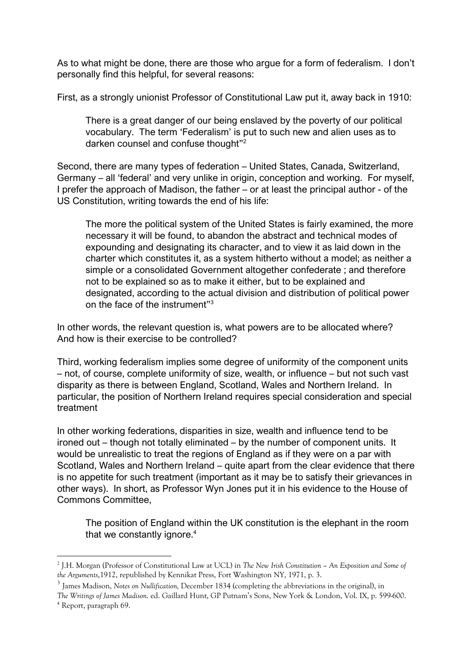As to what might be done, there are those who argue for a form of federalism. I don't personally find this helpful, for several reasons:

First, as a strongly unionist Professor of Constitutional Law put it, away back in 1910:

There is a great danger of our being enslaved by the poverty of our political vocabulary. The term 'Federalism' is put to such new and alien uses as to darken counsel and confuse thought"2

Second, there are many types of federation – United States, Canada, Switzerland, Germany – all 'federal' and very unlike in origin, conception and working. For myself, I prefer the approach of Madison, the father – or at least the principal author - of the US Constitution, writing towards the end of his life:

The more the political system of the United States is fairly examined, the more necessary it will be found, to abandon the abstract and technical modes of expounding and designating its character, and to view it as laid down in the charter which constitutes it, as a system hitherto without a model; as neither a simple or a consolidated Government altogether confederate ; and therefore not to be explained so as to make it either, but to be explained and designated, according to the actual division and distribution of political power on the face of the instrument"3

In other words, the relevant question is, what powers are to be allocated where? And how is their exercise to be controlled?

Third, working federalism implies some degree of uniformity of the component units – not, of course, complete uniformity of size, wealth, or influence – but not such vast disparity as there is between England, Scotland, Wales and Northern Ireland. In particular, the position of Northern Ireland requires special consideration and special treatment

In other working federations, disparities in size, wealth and influence tend to be ironed out – though not totally eliminated – by the number of component units. It would be unrealistic to treat the regions of England as if they were on a par with Scotland, Wales and Northern Ireland – quite apart from the clear evidence that there is no appetite for such treatment (important as it may be to satisfy their grievances in other ways). In short, as Professor Wyn Jones put it in his evidence to the House of Commons Committee,

The position of England within the UK constitution is the elephant in the room that we constantly ignore.<sup>4</sup>

<sup>2</sup> J.H. Morgan (Professor of Constitutional Law at UCL) in *The New Irish Constitution – An Exposition and Some of the Arguments*,1912, republished by Kennikat Press, Fort Washington NY, 1971, p. 3.

<sup>3</sup> James Madison, *Notes on Nullification,* December 1834 (completing the abbreviations in the original), in

*The Writings of James Madison*. ed. Gaillard Hunt, GP Putnam's Sons, New York & London, Vol. IX, p. 599-600. 4 Report, paragraph 69.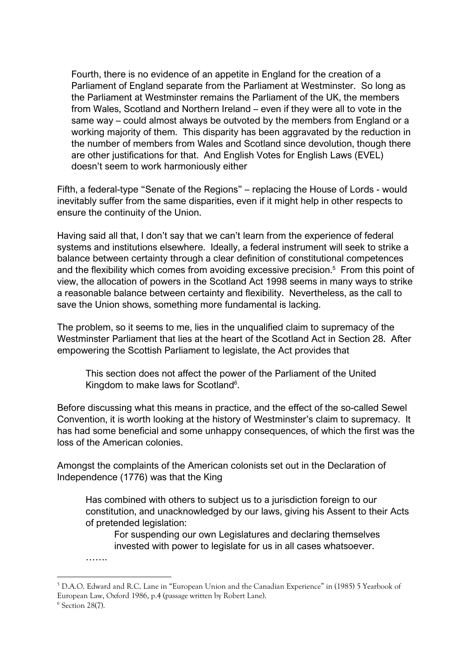Fourth, there is no evidence of an appetite in England for the creation of a Parliament of England separate from the Parliament at Westminster. So long as the Parliament at Westminster remains the Parliament of the UK, the members from Wales, Scotland and Northern Ireland – even if they were all to vote in the same way – could almost always be outvoted by the members from England or a working majority of them. This disparity has been aggravated by the reduction in the number of members from Wales and Scotland since devolution, though there are other justifications for that. And English Votes for English Laws (EVEL) doesn't seem to work harmoniously either

Fifth, a federal-type "Senate of the Regions" – replacing the House of Lords - would inevitably suffer from the same disparities, even if it might help in other respects to ensure the continuity of the Union.

Having said all that, I don't say that we can't learn from the experience of federal systems and institutions elsewhere. Ideally, a federal instrument will seek to strike a balance between certainty through a clear definition of constitutional competences and the flexibility which comes from avoiding excessive precision.<sup>5</sup> From this point of view, the allocation of powers in the Scotland Act 1998 seems in many ways to strike a reasonable balance between certainty and flexibility. Nevertheless, as the call to save the Union shows, something more fundamental is lacking.

The problem, so it seems to me, lies in the unqualified claim to supremacy of the Westminster Parliament that lies at the heart of the Scotland Act in Section 28. After empowering the Scottish Parliament to legislate, the Act provides that

This section does not affect the power of the Parliament of the United Kingdom to make laws for Scotland<sup>6</sup>.

Before discussing what this means in practice, and the effect of the so-called Sewel Convention, it is worth looking at the history of Westminster's claim to supremacy. It has had some beneficial and some unhappy consequences, of which the first was the loss of the American colonies.

Amongst the complaints of the American colonists set out in the Declaration of Independence (1776) was that the King

Has combined with others to subject us to a jurisdiction foreign to our constitution, and unacknowledged by our laws, giving his Assent to their Acts of pretended legislation:

For suspending our own Legislatures and declaring themselves invested with power to legislate for us in all cases whatsoever.

………

<sup>5</sup> D.A.O. Edward and R.C. Lane in "European Union and the Canadian Experience" in (1985) 5 Yearbook of European Law, Oxford 1986, p.4 (passage written by Robert Lane).  $6$  Section 28(7).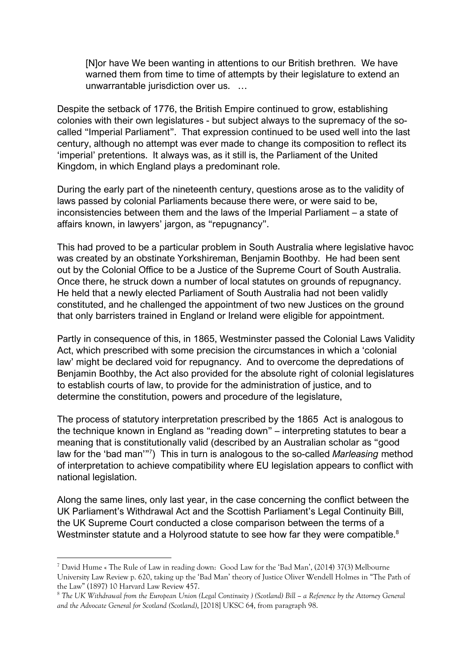[N]or have We been wanting in attentions to our British brethren. We have warned them from time to time of attempts by their legislature to extend an unwarrantable jurisdiction over us. …

Despite the setback of 1776, the British Empire continued to grow, establishing colonies with their own legislatures - but subject always to the supremacy of the socalled "Imperial Parliament". That expression continued to be used well into the last century, although no attempt was ever made to change its composition to reflect its 'imperial' pretentions. It always was, as it still is, the Parliament of the United Kingdom, in which England plays a predominant role.

During the early part of the nineteenth century, questions arose as to the validity of laws passed by colonial Parliaments because there were, or were said to be, inconsistencies between them and the laws of the Imperial Parliament – a state of affairs known, in lawyers' jargon, as "repugnancy".

This had proved to be a particular problem in South Australia where legislative havoc was created by an obstinate Yorkshireman, Benjamin Boothby. He had been sent out by the Colonial Office to be a Justice of the Supreme Court of South Australia. Once there, he struck down a number of local statutes on grounds of repugnancy. He held that a newly elected Parliament of South Australia had not been validly constituted, and he challenged the appointment of two new Justices on the ground that only barristers trained in England or Ireland were eligible for appointment.

Partly in consequence of this, in 1865, Westminster passed the Colonial Laws Validity Act, which prescribed with some precision the circumstances in which a 'colonial law' might be declared void for repugnancy. And to overcome the depredations of Benjamin Boothby, the Act also provided for the absolute right of colonial legislatures to establish courts of law, to provide for the administration of justice, and to determine the constitution, powers and procedure of the legislature,

The process of statutory interpretation prescribed by the 1865 Act is analogous to the technique known in England as "reading down" – interpreting statutes to bear a meaning that is constitutionally valid (described by an Australian scholar as "good law for the 'bad man'"7 ) This in turn is analogous to the so-called *Marleasing* method of interpretation to achieve compatibility where EU legislation appears to conflict with national legislation.

Along the same lines, only last year, in the case concerning the conflict between the UK Parliament's Withdrawal Act and the Scottish Parliament's Legal Continuity Bill, the UK Supreme Court conducted a close comparison between the terms of a Westminster statute and a Holyrood statute to see how far they were compatible.<sup>8</sup>

<sup>7</sup> David Hume « The Rule of Law in reading down: Good Law for the 'Bad Man', (2014) 37(3) Melbourne University Law Review p. 620, taking up the 'Bad Man' theory of Justice Oliver Wendell Holmes in "The Path of the Law" (1897) 10 Harvard Law Review 457.

<sup>8</sup> *The UK Withdrawal from the European Union (Legal Continuity ) (Scotland) Bill – a Reference by the Attorney General and the Advocate General for Scotland (Scotland)*, [2018] UKSC 64, from paragraph 98.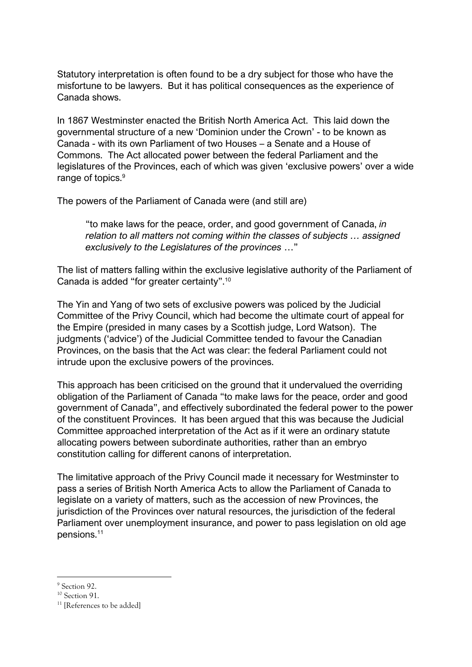Statutory interpretation is often found to be a dry subject for those who have the misfortune to be lawyers. But it has political consequences as the experience of Canada shows.

In 1867 Westminster enacted the British North America Act. This laid down the governmental structure of a new 'Dominion under the Crown' - to be known as Canada - with its own Parliament of two Houses – a Senate and a House of Commons. The Act allocated power between the federal Parliament and the legislatures of the Provinces, each of which was given 'exclusive powers' over a wide range of topics.<sup>9</sup>

The powers of the Parliament of Canada were (and still are)

"to make laws for the peace, order, and good government of Canada, *in relation to all matters not coming within the classes of subjects … assigned exclusively to the Legislatures of the provinces* …"

The list of matters falling within the exclusive legislative authority of the Parliament of Canada is added "for greater certainty".10

The Yin and Yang of two sets of exclusive powers was policed by the Judicial Committee of the Privy Council, which had become the ultimate court of appeal for the Empire (presided in many cases by a Scottish judge, Lord Watson). The judgments ('advice') of the Judicial Committee tended to favour the Canadian Provinces, on the basis that the Act was clear: the federal Parliament could not intrude upon the exclusive powers of the provinces.

This approach has been criticised on the ground that it undervalued the overriding obligation of the Parliament of Canada "to make laws for the peace, order and good government of Canada", and effectively subordinated the federal power to the power of the constituent Provinces. It has been argued that this was because the Judicial Committee approached interpretation of the Act as if it were an ordinary statute allocating powers between subordinate authorities, rather than an embryo constitution calling for different canons of interpretation.

The limitative approach of the Privy Council made it necessary for Westminster to pass a series of British North America Acts to allow the Parliament of Canada to legislate on a variety of matters, such as the accession of new Provinces, the jurisdiction of the Provinces over natural resources, the jurisdiction of the federal Parliament over unemployment insurance, and power to pass legislation on old age pensions.11

<sup>&</sup>lt;sup>9</sup> Section 92.

<sup>&</sup>lt;sup>10</sup> Section 91.

<sup>&</sup>lt;sup>11</sup> [References to be added]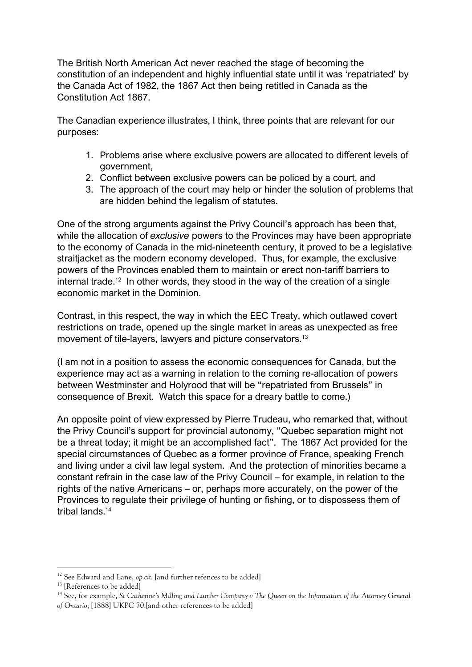The British North American Act never reached the stage of becoming the constitution of an independent and highly influential state until it was 'repatriated' by the Canada Act of 1982, the 1867 Act then being retitled in Canada as the Constitution Act 1867.

The Canadian experience illustrates, I think, three points that are relevant for our purposes:

- 1. Problems arise where exclusive powers are allocated to different levels of government,
- 2. Conflict between exclusive powers can be policed by a court, and
- 3. The approach of the court may help or hinder the solution of problems that are hidden behind the legalism of statutes.

One of the strong arguments against the Privy Council's approach has been that, while the allocation of *exclusive* powers to the Provinces may have been appropriate to the economy of Canada in the mid-nineteenth century, it proved to be a legislative straitjacket as the modern economy developed. Thus, for example, the exclusive powers of the Provinces enabled them to maintain or erect non-tariff barriers to internal trade.<sup>12</sup> In other words, they stood in the way of the creation of a single economic market in the Dominion.

Contrast, in this respect, the way in which the EEC Treaty, which outlawed covert restrictions on trade, opened up the single market in areas as unexpected as free movement of tile-layers, lawyers and picture conservators.13

(I am not in a position to assess the economic consequences for Canada, but the experience may act as a warning in relation to the coming re-allocation of powers between Westminster and Holyrood that will be "repatriated from Brussels" in consequence of Brexit. Watch this space for a dreary battle to come.)

An opposite point of view expressed by Pierre Trudeau, who remarked that, without the Privy Council's support for provincial autonomy, "Quebec separation might not be a threat today; it might be an accomplished fact". The 1867 Act provided for the special circumstances of Quebec as a former province of France, speaking French and living under a civil law legal system. And the protection of minorities became a constant refrain in the case law of the Privy Council – for example, in relation to the rights of the native Americans – or, perhaps more accurately, on the power of the Provinces to regulate their privilege of hunting or fishing, or to dispossess them of tribal lands<sup>14</sup>

<sup>14</sup> See, for example, *St Catherine's Milling and Lumber Company v The Queen on the Information of the Attorney General of Ontario*, [1888] UKPC 70.[and other references to be added]

<sup>&</sup>lt;sup>12</sup> See Edward and Lane, *op.cit.* [and further refences to be added]

<sup>&</sup>lt;sup>13</sup> [References to be added]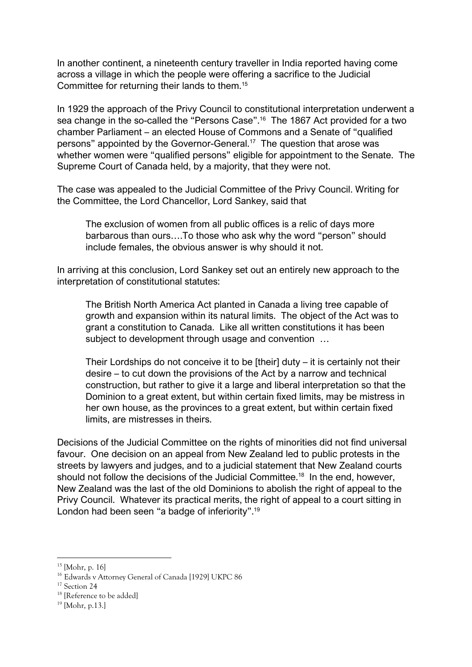In another continent, a nineteenth century traveller in India reported having come across a village in which the people were offering a sacrifice to the Judicial Committee for returning their lands to them.15

In 1929 the approach of the Privy Council to constitutional interpretation underwent a sea change in the so-called the "Persons Case".16 The 1867 Act provided for a two chamber Parliament – an elected House of Commons and a Senate of "qualified persons" appointed by the Governor-General.17 The question that arose was whether women were "qualified persons" eligible for appointment to the Senate. The Supreme Court of Canada held, by a majority, that they were not.

The case was appealed to the Judicial Committee of the Privy Council. Writing for the Committee, the Lord Chancellor, Lord Sankey, said that

The exclusion of women from all public offices is a relic of days more barbarous than ours….To those who ask why the word "person" should include females, the obvious answer is why should it not.

In arriving at this conclusion, Lord Sankey set out an entirely new approach to the interpretation of constitutional statutes:

The British North America Act planted in Canada a living tree capable of growth and expansion within its natural limits. The object of the Act was to grant a constitution to Canada. Like all written constitutions it has been subject to development through usage and convention …

Their Lordships do not conceive it to be [their] duty – it is certainly not their desire – to cut down the provisions of the Act by a narrow and technical construction, but rather to give it a large and liberal interpretation so that the Dominion to a great extent, but within certain fixed limits, may be mistress in her own house, as the provinces to a great extent, but within certain fixed limits, are mistresses in theirs.

Decisions of the Judicial Committee on the rights of minorities did not find universal favour. One decision on an appeal from New Zealand led to public protests in the streets by lawyers and judges, and to a judicial statement that New Zealand courts should not follow the decisions of the Judicial Committee.<sup>18</sup> In the end, however, New Zealand was the last of the old Dominions to abolish the right of appeal to the Privy Council. Whatever its practical merits, the right of appeal to a court sitting in London had been seen "a badge of inferiority".19

 $15$  [Mohr, p. 16]

<sup>&</sup>lt;sup>16</sup> Edwards v Attorney General of Canada [1929] UKPC 86<sup>17</sup> Section 24

<sup>&</sup>lt;sup>18</sup> [Reference to be added]

 $19$  [Mohr, p.13.]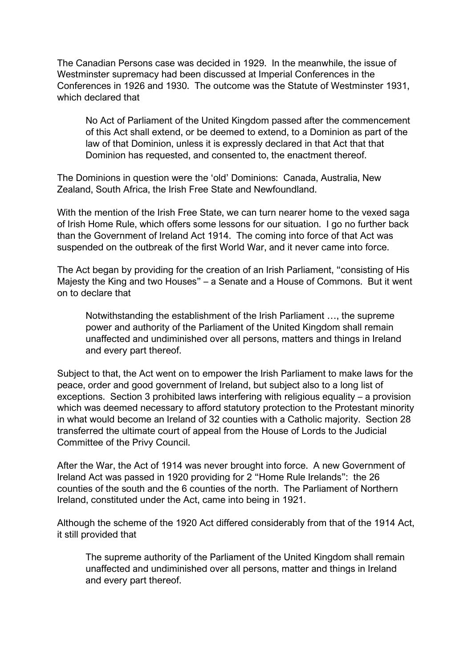The Canadian Persons case was decided in 1929. In the meanwhile, the issue of Westminster supremacy had been discussed at Imperial Conferences in the Conferences in 1926 and 1930. The outcome was the Statute of Westminster 1931, which declared that

No Act of Parliament of the United Kingdom passed after the commencement of this Act shall extend, or be deemed to extend, to a Dominion as part of the law of that Dominion, unless it is expressly declared in that Act that that Dominion has requested, and consented to, the enactment thereof.

The Dominions in question were the 'old' Dominions: Canada, Australia, New Zealand, South Africa, the Irish Free State and Newfoundland.

With the mention of the Irish Free State, we can turn nearer home to the vexed saga of Irish Home Rule, which offers some lessons for our situation. I go no further back than the Government of Ireland Act 1914. The coming into force of that Act was suspended on the outbreak of the first World War, and it never came into force.

The Act began by providing for the creation of an Irish Parliament, "consisting of His Majesty the King and two Houses" – a Senate and a House of Commons. But it went on to declare that

Notwithstanding the establishment of the Irish Parliament …, the supreme power and authority of the Parliament of the United Kingdom shall remain unaffected and undiminished over all persons, matters and things in Ireland and every part thereof.

Subject to that, the Act went on to empower the Irish Parliament to make laws for the peace, order and good government of Ireland, but subject also to a long list of exceptions. Section 3 prohibited laws interfering with religious equality – a provision which was deemed necessary to afford statutory protection to the Protestant minority in what would become an Ireland of 32 counties with a Catholic majority. Section 28 transferred the ultimate court of appeal from the House of Lords to the Judicial Committee of the Privy Council.

After the War, the Act of 1914 was never brought into force. A new Government of Ireland Act was passed in 1920 providing for 2 "Home Rule Irelands": the 26 counties of the south and the 6 counties of the north. The Parliament of Northern Ireland, constituted under the Act, came into being in 1921.

Although the scheme of the 1920 Act differed considerably from that of the 1914 Act, it still provided that

The supreme authority of the Parliament of the United Kingdom shall remain unaffected and undiminished over all persons, matter and things in Ireland and every part thereof.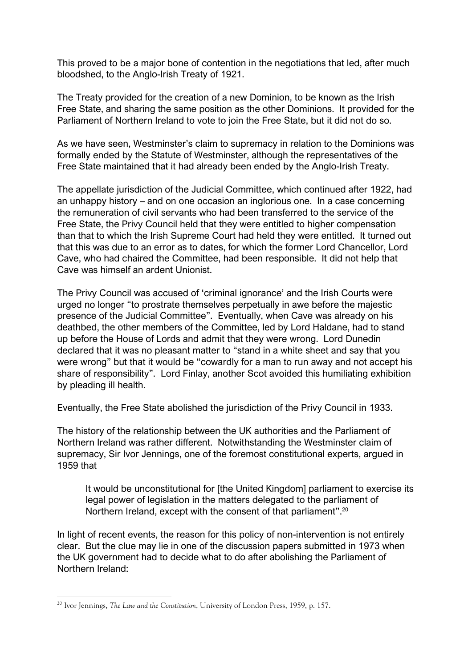This proved to be a major bone of contention in the negotiations that led, after much bloodshed, to the Anglo-Irish Treaty of 1921.

The Treaty provided for the creation of a new Dominion, to be known as the Irish Free State, and sharing the same position as the other Dominions. It provided for the Parliament of Northern Ireland to vote to join the Free State, but it did not do so.

As we have seen, Westminster's claim to supremacy in relation to the Dominions was formally ended by the Statute of Westminster, although the representatives of the Free State maintained that it had already been ended by the Anglo-Irish Treaty.

The appellate jurisdiction of the Judicial Committee, which continued after 1922, had an unhappy history – and on one occasion an inglorious one. In a case concerning the remuneration of civil servants who had been transferred to the service of the Free State, the Privy Council held that they were entitled to higher compensation than that to which the Irish Supreme Court had held they were entitled. It turned out that this was due to an error as to dates, for which the former Lord Chancellor, Lord Cave, who had chaired the Committee, had been responsible. It did not help that Cave was himself an ardent Unionist.

The Privy Council was accused of 'criminal ignorance' and the Irish Courts were urged no longer "to prostrate themselves perpetually in awe before the majestic presence of the Judicial Committee". Eventually, when Cave was already on his deathbed, the other members of the Committee, led by Lord Haldane, had to stand up before the House of Lords and admit that they were wrong. Lord Dunedin declared that it was no pleasant matter to "stand in a white sheet and say that you were wrong" but that it would be "cowardly for a man to run away and not accept his share of responsibility". Lord Finlay, another Scot avoided this humiliating exhibition by pleading ill health.

Eventually, the Free State abolished the jurisdiction of the Privy Council in 1933.

The history of the relationship between the UK authorities and the Parliament of Northern Ireland was rather different. Notwithstanding the Westminster claim of supremacy, Sir Ivor Jennings, one of the foremost constitutional experts, argued in 1959 that

It would be unconstitutional for [the United Kingdom] parliament to exercise its legal power of legislation in the matters delegated to the parliament of Northern Ireland, except with the consent of that parliament".<sup>20</sup>

In light of recent events, the reason for this policy of non-intervention is not entirely clear. But the clue may lie in one of the discussion papers submitted in 1973 when the UK government had to decide what to do after abolishing the Parliament of Northern Ireland:

<sup>20</sup> Ivor Jennings, *The Law and the Constitution*, University of London Press, 1959, p. 157.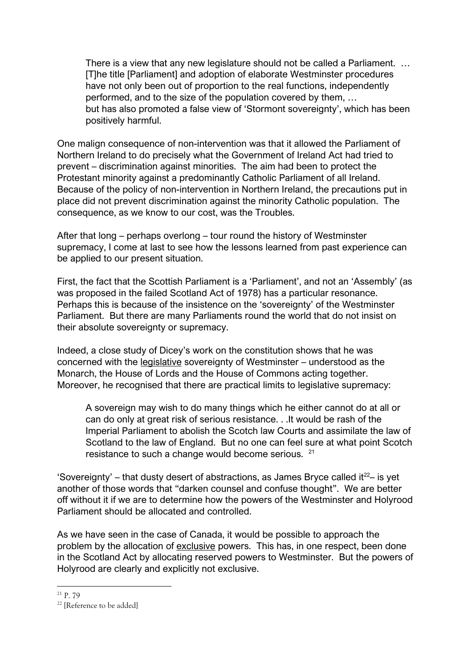There is a view that any new legislature should not be called a Parliament. … [T]he title [Parliament] and adoption of elaborate Westminster procedures have not only been out of proportion to the real functions, independently performed, and to the size of the population covered by them, … but has also promoted a false view of 'Stormont sovereignty', which has been positively harmful.

One malign consequence of non-intervention was that it allowed the Parliament of Northern Ireland to do precisely what the Government of Ireland Act had tried to prevent – discrimination against minorities. The aim had been to protect the Protestant minority against a predominantly Catholic Parliament of all Ireland. Because of the policy of non-intervention in Northern Ireland, the precautions put in place did not prevent discrimination against the minority Catholic population. The consequence, as we know to our cost, was the Troubles.

After that long – perhaps overlong – tour round the history of Westminster supremacy, I come at last to see how the lessons learned from past experience can be applied to our present situation.

First, the fact that the Scottish Parliament is a 'Parliament', and not an 'Assembly' (as was proposed in the failed Scotland Act of 1978) has a particular resonance. Perhaps this is because of the insistence on the 'sovereignty' of the Westminster Parliament. But there are many Parliaments round the world that do not insist on their absolute sovereignty or supremacy.

Indeed, a close study of Dicey's work on the constitution shows that he was concerned with the legislative sovereignty of Westminster – understood as the Monarch, the House of Lords and the House of Commons acting together. Moreover, he recognised that there are practical limits to legislative supremacy:

A sovereign may wish to do many things which he either cannot do at all or can do only at great risk of serious resistance. . .It would be rash of the Imperial Parliament to abolish the Scotch law Courts and assimilate the law of Scotland to the law of England. But no one can feel sure at what point Scotch resistance to such a change would become serious. 21

'Sovereignty' – that dusty desert of abstractions, as James Bryce called it<sup>22</sup>– is yet another of those words that "darken counsel and confuse thought". We are better off without it if we are to determine how the powers of the Westminster and Holyrood Parliament should be allocated and controlled.

As we have seen in the case of Canada, it would be possible to approach the problem by the allocation of exclusive powers. This has, in one respect, been done in the Scotland Act by allocating reserved powers to Westminster. But the powers of Holyrood are clearly and explicitly not exclusive.

<sup>21</sup> P. 79

<sup>&</sup>lt;sup>22</sup> [Reference to be added]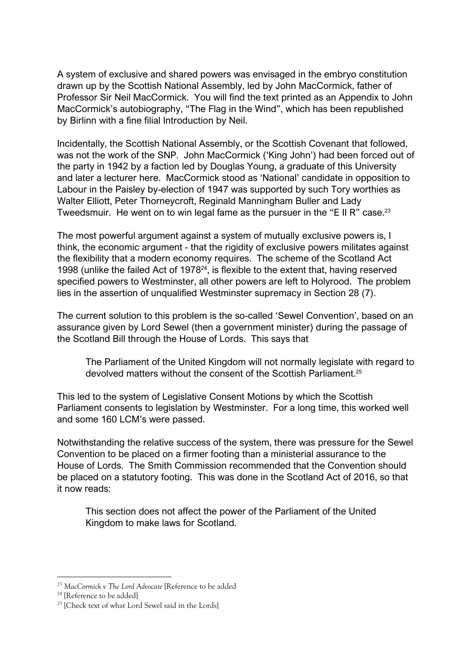A system of exclusive and shared powers was envisaged in the embryo constitution drawn up by the Scottish National Assembly, led by John MacCormick, father of Professor Sir Neil MacCormick. You will find the text printed as an Appendix to John MacCormick's autobiography, "The Flag in the Wind", which has been republished by Birlinn with a fine filial Introduction by Neil.

Incidentally, the Scottish National Assembly, or the Scottish Covenant that followed, was not the work of the SNP. John MacCormick ('King John') had been forced out of the party in 1942 by a faction led by Douglas Young, a graduate of this University and later a lecturer here. MacCormick stood as 'National' candidate in opposition to Labour in the Paisley by-election of 1947 was supported by such Tory worthies as Walter Elliott, Peter Thorneycroft, Reginald Manningham Buller and Lady Tweedsmuir. He went on to win legal fame as the pursuer in the "E II R" case.<sup>23</sup>

The most powerful argument against a system of mutually exclusive powers is, I think, the economic argument - that the rigidity of exclusive powers militates against the flexibility that a modern economy requires. The scheme of the Scotland Act 1998 (unlike the failed Act of 197824, is flexible to the extent that, having reserved specified powers to Westminster, all other powers are left to Holyrood. The problem lies in the assertion of unqualified Westminster supremacy in Section 28 (7).

The current solution to this problem is the so-called 'Sewel Convention', based on an assurance given by Lord Sewel (then a government minister) during the passage of the Scotland Bill through the House of Lords. This says that

The Parliament of the United Kingdom will not normally legislate with regard to devolved matters without the consent of the Scottish Parliament.25

This led to the system of Legislative Consent Motions by which the Scottish Parliament consents to legislation by Westminster. For a long time, this worked well and some 160 LCM's were passed.

Notwithstanding the relative success of the system, there was pressure for the Sewel Convention to be placed on a firmer footing than a ministerial assurance to the House of Lords. The Smith Commission recommended that the Convention should be placed on a statutory footing. This was done in the Scotland Act of 2016, so that it now reads:

This section does not affect the power of the Parliament of the United Kingdom to make laws for Scotland.

<sup>23</sup> *MacCormick v The Lord Advocate* [Reference to be added

<sup>&</sup>lt;sup>24</sup> [Reference to be added]

<sup>&</sup>lt;sup>25</sup> [Check text of what Lord Sewel said in the Lords]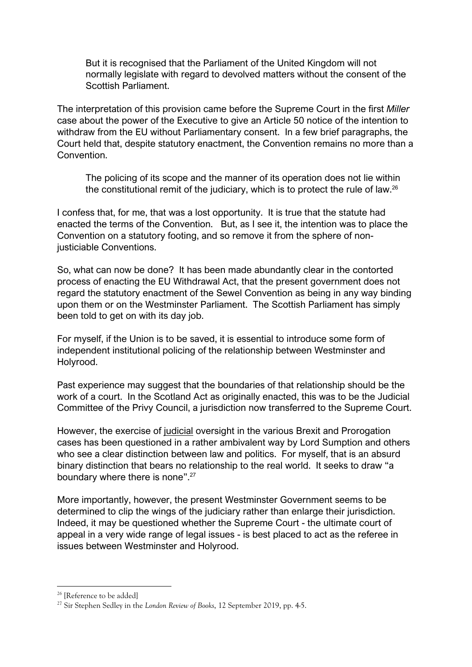But it is recognised that the Parliament of the United Kingdom will not normally legislate with regard to devolved matters without the consent of the Scottish Parliament.

The interpretation of this provision came before the Supreme Court in the first *Miller* case about the power of the Executive to give an Article 50 notice of the intention to withdraw from the EU without Parliamentary consent. In a few brief paragraphs, the Court held that, despite statutory enactment, the Convention remains no more than a Convention.

The policing of its scope and the manner of its operation does not lie within the constitutional remit of the judiciary, which is to protect the rule of law.26

I confess that, for me, that was a lost opportunity. It is true that the statute had enacted the terms of the Convention. But, as I see it, the intention was to place the Convention on a statutory footing, and so remove it from the sphere of nonjusticiable Conventions.

So, what can now be done? It has been made abundantly clear in the contorted process of enacting the EU Withdrawal Act, that the present government does not regard the statutory enactment of the Sewel Convention as being in any way binding upon them or on the Westminster Parliament. The Scottish Parliament has simply been told to get on with its day job.

For myself, if the Union is to be saved, it is essential to introduce some form of independent institutional policing of the relationship between Westminster and Holyrood.

Past experience may suggest that the boundaries of that relationship should be the work of a court. In the Scotland Act as originally enacted, this was to be the Judicial Committee of the Privy Council, a jurisdiction now transferred to the Supreme Court.

However, the exercise of judicial oversight in the various Brexit and Prorogation cases has been questioned in a rather ambivalent way by Lord Sumption and others who see a clear distinction between law and politics. For myself, that is an absurd binary distinction that bears no relationship to the real world. It seeks to draw "a boundary where there is none".27

More importantly, however, the present Westminster Government seems to be determined to clip the wings of the judiciary rather than enlarge their jurisdiction. Indeed, it may be questioned whether the Supreme Court - the ultimate court of appeal in a very wide range of legal issues - is best placed to act as the referee in issues between Westminster and Holyrood.

<sup>&</sup>lt;sup>26</sup> [Reference to be added]

<sup>27</sup> Sir Stephen Sedley in the *London Review of Books*, 12 September 2019, pp. 4-5.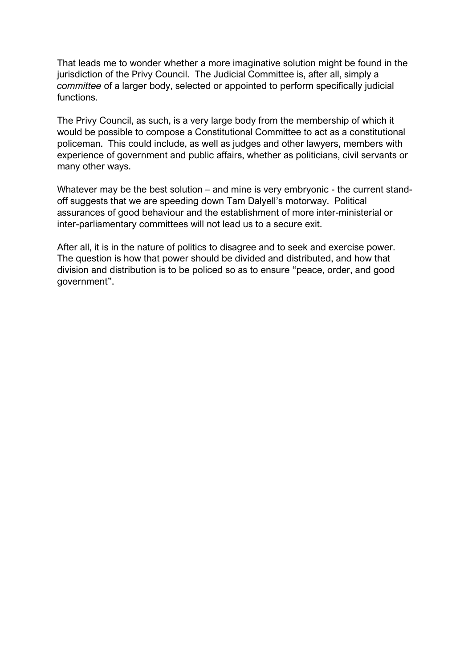That leads me to wonder whether a more imaginative solution might be found in the jurisdiction of the Privy Council. The Judicial Committee is, after all, simply a *committee* of a larger body, selected or appointed to perform specifically judicial functions.

The Privy Council, as such, is a very large body from the membership of which it would be possible to compose a Constitutional Committee to act as a constitutional policeman. This could include, as well as judges and other lawyers, members with experience of government and public affairs, whether as politicians, civil servants or many other ways.

Whatever may be the best solution – and mine is very embryonic - the current standoff suggests that we are speeding down Tam Dalyell's motorway. Political assurances of good behaviour and the establishment of more inter-ministerial or inter-parliamentary committees will not lead us to a secure exit.

After all, it is in the nature of politics to disagree and to seek and exercise power. The question is how that power should be divided and distributed, and how that division and distribution is to be policed so as to ensure "peace, order, and good government".